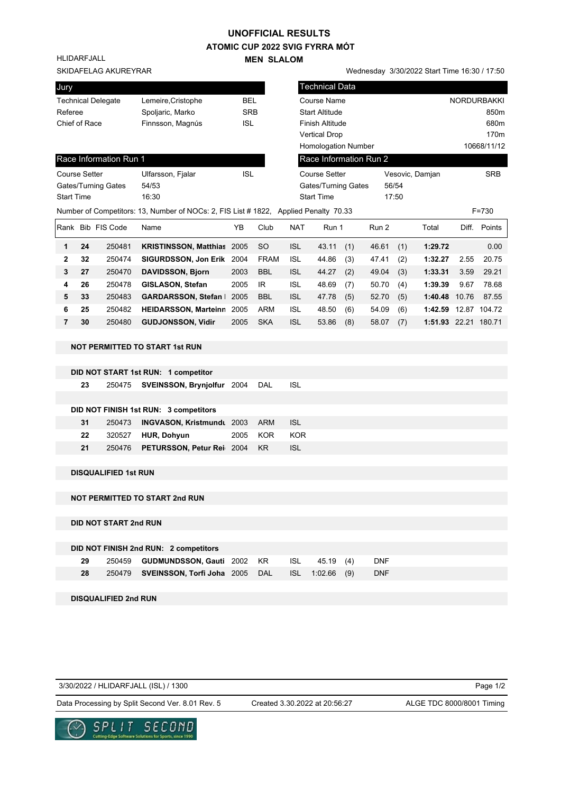## **UNOFFICIAL RESULTS**

**ATOMIC CUP 2022 SVIG FYRRA MÓT MEN SLALOM** 

HLIDARFJALL

|                                                 |    |                              |                                                                                      |            | <b>IVIEN SLALUIVI</b> |                        |                            |                 |       |     |                                              |                    |              |
|-------------------------------------------------|----|------------------------------|--------------------------------------------------------------------------------------|------------|-----------------------|------------------------|----------------------------|-----------------|-------|-----|----------------------------------------------|--------------------|--------------|
|                                                 |    | SKIDAFELAG AKUREYRAR         |                                                                                      |            |                       |                        |                            |                 |       |     | Wednesday 3/30/2022 Start Time 16:30 / 17:50 |                    |              |
| Jury                                            |    |                              |                                                                                      |            |                       |                        | <b>Technical Data</b>      |                 |       |     |                                              |                    |              |
| Lemeire, Cristophe<br><b>Technical Delegate</b> |    |                              | <b>BEL</b>                                                                           |            |                       | <b>Course Name</b>     |                            |                 |       |     |                                              | <b>NORDURBAKKI</b> |              |
| Referee                                         |    |                              | Spoljaric, Marko                                                                     | <b>SRB</b> |                       |                        | <b>Start Altitude</b>      |                 |       |     |                                              |                    | 850m         |
| Chief of Race                                   |    |                              | Finnsson, Magnús                                                                     | <b>ISL</b> |                       | <b>Finish Altitude</b> |                            |                 |       |     |                                              |                    | 680m         |
|                                                 |    |                              |                                                                                      |            |                       |                        | <b>Vertical Drop</b>       |                 |       |     |                                              |                    | 170m         |
|                                                 |    |                              |                                                                                      |            |                       |                        | <b>Homologation Number</b> |                 |       |     |                                              | 10668/11/12        |              |
|                                                 |    | Race Information Run 1       |                                                                                      |            |                       |                        | Race Information Run 2     |                 |       |     |                                              |                    |              |
| <b>Course Setter</b>                            |    |                              | Ulfarsson, Fjalar                                                                    | <b>ISL</b> |                       | <b>Course Setter</b>   |                            | Vesovic, Damjan |       |     |                                              | <b>SRB</b>         |              |
|                                                 |    | Gates/Turning Gates          | 54/53                                                                                |            |                       | Gates/Turning Gates    |                            |                 | 56/54 |     |                                              |                    |              |
| <b>Start Time</b>                               |    |                              | 16:30                                                                                |            |                       | <b>Start Time</b>      |                            | 17:50           |       |     |                                              |                    |              |
|                                                 |    |                              | Number of Competitors: 13, Number of NOCs: 2, FIS List # 1822, Applied Penalty 70.33 |            |                       |                        |                            |                 |       |     |                                              |                    | $F = 730$    |
|                                                 |    | Rank Bib FIS Code            | Name                                                                                 | YB         | Club                  | <b>NAT</b>             | Run 1                      |                 | Run 2 |     | Total                                        |                    | Diff. Points |
| 1                                               | 24 | 250481                       | <b>KRISTINSSON, Matthias 2005</b>                                                    |            | <b>SO</b>             | <b>ISL</b>             | 43.11                      | (1)             | 46.61 | (1) | 1:29.72                                      |                    | 0.00         |
| 2                                               | 32 | 250474                       | SIGURDSSON, Jon Erik 2004                                                            |            | <b>FRAM</b>           | <b>ISL</b>             | 44.86                      | (3)             | 47.41 | (2) | 1:32.27                                      | 2.55               | 20.75        |
| 3                                               | 27 | 250470                       | <b>DAVIDSSON, Bjorn</b>                                                              | 2003       | <b>BBL</b>            | <b>ISL</b>             | 44.27                      | (2)             | 49.04 | (3) | 1:33.31                                      | 3.59               | 29.21        |
| 4                                               | 26 | 250478                       | GISLASON, Stefan                                                                     | 2005       | IR                    | <b>ISL</b>             | 48.69                      | (7)             | 50.70 | (4) | 1:39.39                                      | 9.67               | 78.68        |
| 5                                               | 33 | 250483                       | GARDARSSON, Stefan   2005                                                            |            | <b>BBL</b>            | <b>ISL</b>             | 47.78                      | (5)             | 52.70 | (5) | 1:40.48 10.76                                |                    | 87.55        |
| 6                                               | 25 | 250482                       | HEIDARSSON, Marteinn 2005                                                            |            | <b>ARM</b>            | <b>ISL</b>             | 48.50                      | (6)             | 54.09 | (6) | 1:42.59 12.87 104.72                         |                    |              |
| $\overline{7}$                                  | 30 | 250480                       | <b>GUDJONSSON, Vidir</b>                                                             | 2005       | <b>SKA</b>            | <b>ISL</b>             | 53.86                      | (8)             | 58.07 | (7) | 1:51.93 22.21 180.71                         |                    |              |
|                                                 |    |                              |                                                                                      |            |                       |                        |                            |                 |       |     |                                              |                    |              |
|                                                 |    |                              | <b>NOT PERMITTED TO START 1st RUN</b>                                                |            |                       |                        |                            |                 |       |     |                                              |                    |              |
|                                                 |    |                              |                                                                                      |            |                       |                        |                            |                 |       |     |                                              |                    |              |
|                                                 |    |                              | DID NOT START 1st RUN: 1 competitor                                                  |            |                       |                        |                            |                 |       |     |                                              |                    |              |
|                                                 | 23 | 250475                       | <b>SVEINSSON, Brynjolfur</b> 2004                                                    |            | DAL                   | <b>ISL</b>             |                            |                 |       |     |                                              |                    |              |
|                                                 |    |                              |                                                                                      |            |                       |                        |                            |                 |       |     |                                              |                    |              |
|                                                 |    |                              | DID NOT FINISH 1st RUN: 3 competitors                                                |            |                       |                        |                            |                 |       |     |                                              |                    |              |
|                                                 | 31 | 250473                       | <b>INGVASON, Kristmundt</b> 2003                                                     |            | <b>ARM</b>            | <b>ISL</b>             |                            |                 |       |     |                                              |                    |              |
|                                                 | 22 | 320527                       | HUR, Dohyun                                                                          | 2005       | <b>KOR</b>            | <b>KOR</b>             |                            |                 |       |     |                                              |                    |              |
|                                                 | 21 | 250476                       | PETURSSON, Petur Rei 2004                                                            |            | <b>KR</b>             | <b>ISL</b>             |                            |                 |       |     |                                              |                    |              |
|                                                 |    |                              |                                                                                      |            |                       |                        |                            |                 |       |     |                                              |                    |              |
|                                                 |    | <b>DISQUALIFIED 1st RUN</b>  |                                                                                      |            |                       |                        |                            |                 |       |     |                                              |                    |              |
|                                                 |    |                              | <b>NOT PERMITTED TO START 2nd RUN</b>                                                |            |                       |                        |                            |                 |       |     |                                              |                    |              |
|                                                 |    |                              |                                                                                      |            |                       |                        |                            |                 |       |     |                                              |                    |              |
|                                                 |    | <b>DID NOT START 2nd RUN</b> |                                                                                      |            |                       |                        |                            |                 |       |     |                                              |                    |              |
|                                                 |    |                              |                                                                                      |            |                       |                        |                            |                 |       |     |                                              |                    |              |
|                                                 |    |                              | DID NOT FINISH 2nd RUN: 2 competitors                                                |            |                       |                        |                            |                 |       |     |                                              |                    |              |

| <b>DID NOT FINISH ZHU KUN.  Z COMPETIOIS</b> |  |                                                        |  |  |  |  |  |            |  |  |
|----------------------------------------------|--|--------------------------------------------------------|--|--|--|--|--|------------|--|--|
| 29                                           |  | 250459 <b>GUDMUNDSSON, Gauti</b> 2002 KR ISL 45.19 (4) |  |  |  |  |  | DNF        |  |  |
| 28                                           |  | 250479 SVEINSSON, Torfi Joha 2005 DAL ISL 1:02.66 (9)  |  |  |  |  |  | <b>DNF</b> |  |  |

**DISQUALIFIED 2nd RUN**

3/30/2022 / HLIDARFJALL (ISL) / 1300

Page 1/2

Data Processing by Split Second Ver. 8.01 Rev. 5 Created 3.30.2022 at 20:56:27 ALGE TDC 8000/8001 Timing

Created 3.30.2022 at 20:56:27